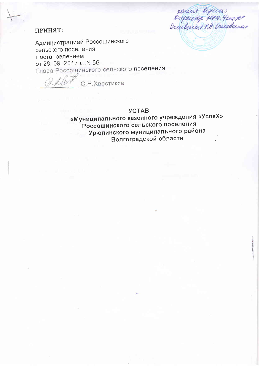### ПРИНЯТ:

roune bepica;<br>Diepensop pay, Gene per

Администрацией Россошинского сельского поселения Постановлением от 28. 09. 2017 г. № 56 Глава Россошинского сельского поселения

С. Н. Хвостиков

#### **YCTAB**

«Муниципального казенного учреждения «УспеХ» Россошинского сельского поселения Урюпинского муниципального района Волгоградской области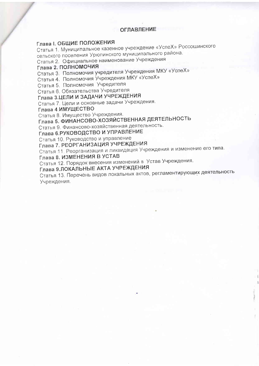#### **ОГЛАВЛЕНИЕ**

### Глава I. ОБЩИЕ ПОЛОЖЕНИЯ

Статья 1. Муниципальное казенное учреждение «УспеХ» Россошинского сельского поселения Урюпинского муниципального района.

Статья 2. Официальное наименование Учреждения

## Глава 2. ПОЛНОМОЧИЯ

Статья 3. Полномочия учредителя Учреждения МКУ «УспеХ»

Статья 4. Полномочия Учреждения МКУ «УспеХ»

Статья 5. Полномочия Учредителя

Статья 6. Обязательства Учредителя

# Глава 3.ЦЕЛИ И ЗАДАЧИ УЧРЕЖДЕНИЯ

Статья 7. Цели и основные задачи Учреждения.

Глава 4.ИМУЩЕСТВО

Статья 8. Имущество Учреждения.

Глава 5. ФИНАНСОВО-ХОЗЯЙСТВЕННАЯ ДЕЯТЕЛЬНОСТЬ

Статья 9. Финансово-хозяйственная деятельность.

Глава 6.РУКОВОДСТВО И УПРАВЛЕНИЕ

Статья 10. Руководство и управление

Глава 7. РЕОРГАНИЗАЦИЯ УЧРЕЖДЕНИЯ

Статья 11. Реорганизация и ликвидация Учреждения и изменение его типа.

#### Глава 8. ИЗМЕНЕНИЯ В УСТАВ

Статья 12. Порядок внесения изменений в Устав Учреждения.

Глава 9.ЛОКАЛЬНЫЕ АКТА УЧРЕЖДЕНИЯ

Статья 13. Перечень видов локальных актов, регламентирующих деятельность Учреждения.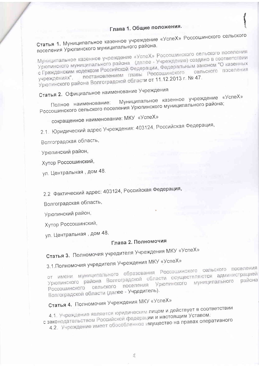Статья 1. Муниципальное казенное учреждение «УспеХ» Россошинского сельского поселения Урюпинского муниципального района.

Муниципальное казенное учреждение «УспеХ» Россошинского сельского поселения Урюпинского муниципального района (далее - Учреждение) создано в соответствии с Гражданским кодексом Российской Федерации, Федеральным законом "О казенных постановлением главы Россошинского Урюпинского района Волгоградской области от 11.12.2013 г. № 47. учреждениях",

# Статья 2. Официальное наименование Учреждения

Муниципальное казенное учреждение «УспеХ» Полное наименование: Россошинского сельского поселения Урюпинского муниципального района;

сокращенное наименование: МКУ «УспеХ»

2.1 Юридический адрес Учреждения: 403124, Российская Федерация,

Волгоградская область,

Урюпинский район,

Хутор Россошинский,

ул. Центральная, дом 48.

2.2 Фактический адрес: 403124, Российская Федерация,

Волгоградская область,

Урюпинский район,

Хутор Россошинский,

ул. Центральная, дом 48.

### Глава 2. Полномочия

Статья 3. Полномочия учредителя Учреждения МКУ «УспеХ»

# 3.1. Полномочия учредителя Учреждения МКУ «УспеХ»

от имени муниципального образования Россошинского сельского поселения Урюпинского района Волгоградской области осуществляются администрацией Россошинского сельского поселения Урюпинского муниципального Волгоградской области (далее - Учредитель).

# Статья 4. Полномочия Учреждения МКУ «УспеХ»

4.1. Учреждение является юридическим лицом и действует в соответствии с законодательством Российской федерации и настоящим Уставом. 4.2. Учреждение имеет обособленное имущество на правах оперативного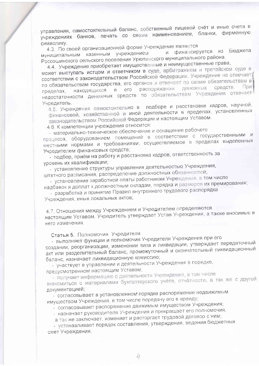управления, самостоятельный баланс, собственный лицевой счёт и иные счета в учреждениях банков, печать со своим наименованием, бланки, фирменную **СИМВОЛИКУ.** 

4.3. По своей организационной форме Учреждение является

и финансируется из Бюджета муниципальным казенным учреждением Россошинского сельского поселения Урюпинского муниципального района.

4.4. Учреждение приобретает имущественные и неимущественные права,

может выступать истцом и ответчиком в суде, арбитражном и третейском суде в соответствии с законодательством Российской Федерации. Учреждение не отвечает по обязательствам государства, его органов и отвечает по своим обязательствам в средств. распоряжении денежных  $\Box$ в его находящихся пределах, недостаточности денежных средств по обязательствам Учреждения отвечает Учредитель.

4.5. Учреждения самостоятельно в подборе и расстановке кадров, научной, финансовой, хозяйственной и иной деятельности в пределах, установленных законодательством Российской Федерации и настоящим Уставом.

4.6. К компетенции учреждения относится:

- материально-техническое обеспечение и оснащение рабочего

процесса, оборудованием помещений в соответствии с государственными и местными нормами и требованиями, осуществляемое в пределах выделенных Учредителем финансовых средств;

- подбор, приём на работу и расстановка кадров, ответственность за уровень их квалификации;

- установление структуры управления деятельностью Учреждения, штатного расписания, распределение должностных обязанностей,

- установление заработной платы работникам Учреждения, в том числе надбавок и доплат к должностным окладам, порядка и размеров их премирования;

- разработка и принятие Правил внутреннего трудового распорядка Учреждения, иных локальных актов,

4.7. Отношения между Учреждением и Учредителем определяются настоящим Уставом. Учредитель утверждает Устав Учреждения, а также вносимые в него изменения.

Статья 5. Полномочия Учредителя

- выполняет функции и полномочия Учредителя Учреждения при его создании, реорганизации, изменении типа и ликвидации, утверждает передаточный акт или разделительный баланс, промежуточный и окончательный ликвидационный баланс, назначает ликвидационную комиссию;

- участвует в управлении и деятельности Учреждения в порядке, предусмотренном настоящим Уставом;

- получает информацию о деятельности Учреждения, в том числе

знакомиться с материалами бухгалтерского учёта, отчётности, а так же с другой документацией:

- согласовывает в установленном порядке распоряжение недвижимым имуществом Учреждения, в том числе передачу его в аренду;

- согласовывает распоряжение движимым имуществом Учреждения;

- назначает руководителя Учреждения и прекращает его полномочия,

а так же заключает, изменяет и расторгает трудовой договор с ним;

- устанавливает порядок составления, утверждения, ведения бюджетных смет Учреждения.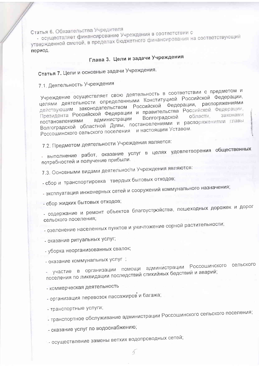Статья 6. Обязательства Учредителя

- осуществляет финансирование Учреждения в соответствии с утвержденной сметой, в пределах бюджетного финансирования на соответствующий период.

Глава 3. Цели и задачи Учреждения

Статья 7. Цели и основные задачи Учреждения.

7.1. Деятельность Учреждения

Учреждение осуществляет свою деятельность в соответствии с предметом и целями деятельности определенными Конституцией Российской Федерации, действующим законодательством Российской Федерации, распоряжениями Президента Российской Федерации и правительства Российской Федерации, Волгоградской администрации Волгоградской областной Думы, постановлениями и распоряжениями главы Россошинского сельского поселения и настоящим Уставом.

7.2. Предметом деятельности Учреждения является:

- выполнение работ, оказание услуг в целях удовлетворения общественных потребностей и получение прибыли.

7.3. Основными видами деятельности Учреждения являются:

- сбор и транспортировка твердых бытовых отходов;

- эксплуатация инженерных сетей и сооружений коммунального назначения;

- сбор жидких бытовых отходов;

- содержание и ремонт объектов благоустройства, пешеходных дорожек и дорог сельского поселения;

- озеленение населенных пунктов и уничтожение сорной растительности;

- оказание ритуальных услуг;

- уборка неорганизованных свалок;

- оказание коммунальных услуг ;

- участие в организации помощи администрации Россошинского сельского поселения по ликвидации последствий стихийных бедствий и аварий;

- коммерческая деятельность

- организация перевозок пассажиров и багажа;

- транспортные услуги;

- транспортное обслуживание администрации Россошинского сельского поселения;

- оказание услуг по водоснабжению;

- осуществление замены ветхих водопроводных сетей;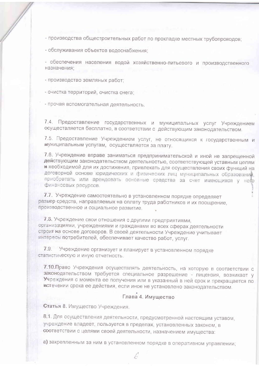- производства общестроительных работ по прокладке местных трубопроводов;

- обслуживания объектов водоснабжения;

- обеспечения населения водой хозяйственно-питьевого и производственного назначения:

- производство земляных работ:

- очистка территорий, очистка снега;

- прочая вспомогательная деятельность.

7.4. Предоставление государственных и муниципальных услуг Учреждением осуществляется бесплатно, в соответствии с действующим законодательством.

7.5. Предоставление Учреждением услуг, не относящихся к государственным и муниципальным услугам, осуществляется за плату.

7.6. Учреждение вправе заниматься предпринимательской и иной не запрещенной действующим законодательством деятельностью, соответствующей уставным целям и необходимой для их достижения, привлекать для осуществления своих функций на договорной основе юридических и физических лиц муниципальных образований, приобретать или арендовать основные средства за счет имеющихся у него финансовых ресурсов.

7.7. Учреждение самостоятельно в установленном порядке определяет размер средств, направляемых на оплату труда работников и их поощрение, преизводственное и социальное развитие.

7.8. Учреждение свои отношения с другими предприятиями, организациями, учреждениями и гражданами во всех сферах деятельности строит на основе договоров. В своей деятельности Учреждение учитывает интересы потребителей, обеспечивает качество работ, услуг.

7.9. Учреждение организует и планирует в установленном порядке статистическую и иную отчетность.

7.10. Право Учреждения осуществлять деятельность, на которую в соответствии с законодательством требуется специальное разрешение - лицензия, возникает у Учреждения с момента ее получения или в указанный в ней срок и прекращается по встечении срока ее действия, если иное не установлено законодательством.

#### Глава 4. Имущество

Статья 8. Имущество Учреждения.

8.1. Для осуществления деятельности, предусмотренной настоящим уставом, учреждение владеет, пользуется в пределах, установленных законом, в соответствии с целями своей деятельности, назначением имущества:

а) закрепленным за ним в установленном порядке в оперативном управлении;